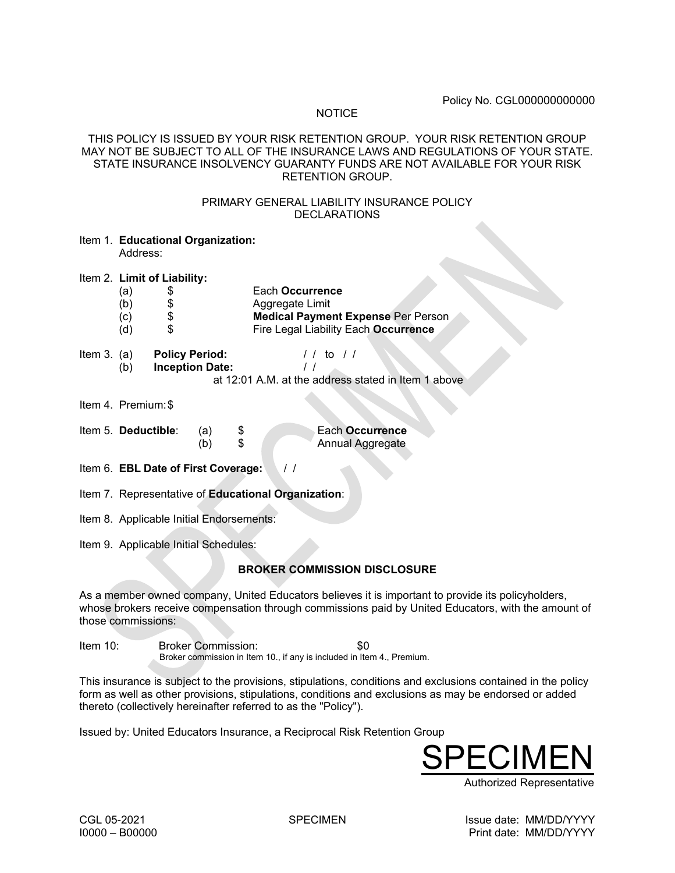#### **NOTICE**

### THIS POLICY IS ISSUED BY YOUR RISK RETENTION GROUP. YOUR RISK RETENTION GROUP MAY NOT BE SUBJECT TO ALL OF THE INSURANCE LAWS AND REGULATIONS OF YOUR STATE. STATE INSURANCE INSOLVENCY GUARANTY FUNDS ARE NOT AVAILABLE FOR YOUR RISK RETENTION GROUP.

## PRIMARY GENERAL LIABILITY INSURANCE POLICY DECLARATIONS

| Item 1. Educational Organization: |
|-----------------------------------|
| Address:                          |

Item 2. **Limit of Liability:** 

- (a) \$ Each **Occurrence**
- \$<br> **B** Aggregate Limit<br> **B** Medical Paymer
- (c) \$ **Medical Payment Expense** Per Person
- (d) \$ Fire Legal Liability Each **Occurrence**

| Item $3.$ (a) | <b>Policy Period:</b>  | $1/1$ to $1/1$ |
|---------------|------------------------|----------------|
| (b)           | <b>Inception Date:</b> |                |
|               |                        |                |

- at 12:01 A.M. at the address stated in Item 1 above
- Item 4. Premium:\$

| Item 5. Deductible: | (a) | Each Occurrence  |
|---------------------|-----|------------------|
|                     |     | Annual Aggregate |

Item 6. **EBL Date of First Coverage:** 

- Item 7. Representative of **Educational Organization**:
- Item 8. Applicable Initial Endorsements:
- Item 9. Applicable Initial Schedules:

# **BROKER COMMISSION DISCLOSURE**

As a member owned company, United Educators believes it is important to provide its policyholders, whose brokers receive compensation through commissions paid by United Educators, with the amount of those commissions:

Item 10: Broker Commission: \$0 Broker commission in Item 10., if any is included in Item 4., Premium.

This insurance is subject to the provisions, stipulations, conditions and exclusions contained in the policy form as well as other provisions, stipulations, conditions and exclusions as may be endorsed or added thereto (collectively hereinafter referred to as the "Policy").

Issued by: United Educators Insurance, a Reciprocal Risk Retention Group

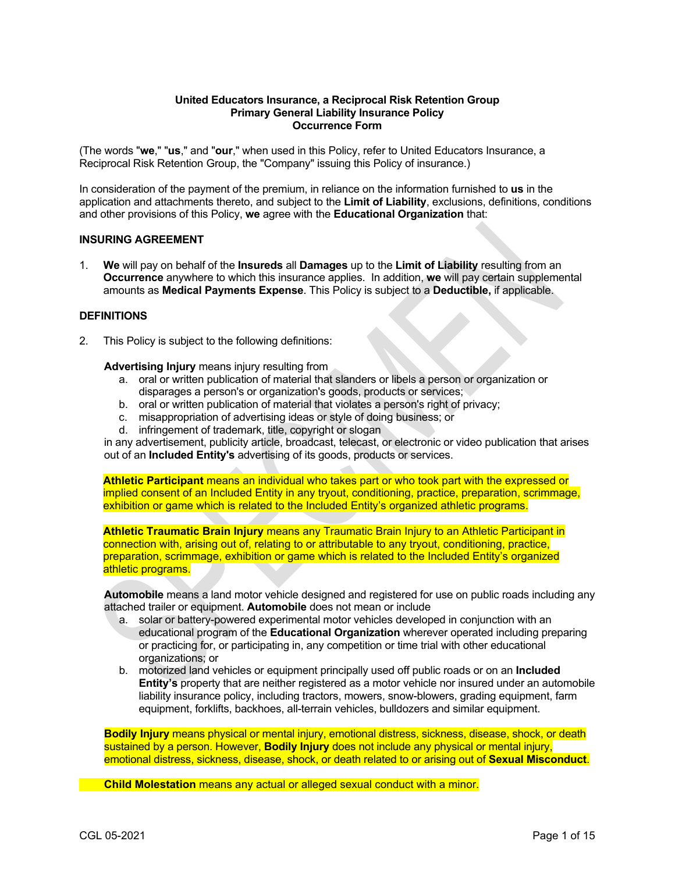#### **United Educators Insurance, a Reciprocal Risk Retention Group Primary General Liability Insurance Policy Occurrence Form**

(The words "**we**," "**us**," and "**our**," when used in this Policy, refer to United Educators Insurance, a Reciprocal Risk Retention Group, the "Company" issuing this Policy of insurance.)

In consideration of the payment of the premium, in reliance on the information furnished to **us** in the application and attachments thereto, and subject to the **Limit of Liability**, exclusions, definitions, conditions and other provisions of this Policy, **we** agree with the **Educational Organization** that:

#### **INSURING AGREEMENT**

1. **We** will pay on behalf of the **Insureds** all **Damages** up to the **Limit of Liability** resulting from an **Occurrence** anywhere to which this insurance applies. In addition, **we** will pay certain supplemental amounts as **Medical Payments Expense**. This Policy is subject to a **Deductible,** if applicable.

### **DEFINITIONS**

2. This Policy is subject to the following definitions:

#### **Advertising Injury** means injury resulting from

- a. oral or written publication of material that slanders or libels a person or organization or disparages a person's or organization's goods, products or services;
- b. oral or written publication of material that violates a person's right of privacy;
- c. misappropriation of advertising ideas or style of doing business; or
- d. infringement of trademark, title, copyright or slogan

in any advertisement, publicity article, broadcast, telecast, or electronic or video publication that arises out of an **Included Entity's** advertising of its goods, products or services.

**Athletic Participant** means an individual who takes part or who took part with the expressed or implied consent of an Included Entity in any tryout, conditioning, practice, preparation, scrimmage, exhibition or game which is related to the Included Entity's organized athletic programs.

**Athletic Traumatic Brain Injury** means any Traumatic Brain Injury to an Athletic Participant in connection with, arising out of, relating to or attributable to any tryout, conditioning, practice, preparation, scrimmage, exhibition or game which is related to the Included Entity's organized athletic programs.

**Automobile** means a land motor vehicle designed and registered for use on public roads including any attached trailer or equipment. **Automobile** does not mean or include

- a. solar or battery-powered experimental motor vehicles developed in conjunction with an educational program of the **Educational Organization** wherever operated including preparing or practicing for, or participating in, any competition or time trial with other educational organizations; or
- b. motorized land vehicles or equipment principally used off public roads or on an **Included Entity's** property that are neither registered as a motor vehicle nor insured under an automobile liability insurance policy, including tractors, mowers, snow-blowers, grading equipment, farm equipment, forklifts, backhoes, all-terrain vehicles, bulldozers and similar equipment.

**Bodily Injury** means physical or mental injury, emotional distress, sickness, disease, shock, or death sustained by a person. However, **Bodily Injury** does not include any physical or mental injury, emotional distress, sickness, disease, shock, or death related to or arising out of **Sexual Misconduct**.

**Child Molestation** means any actual or alleged sexual conduct with a minor.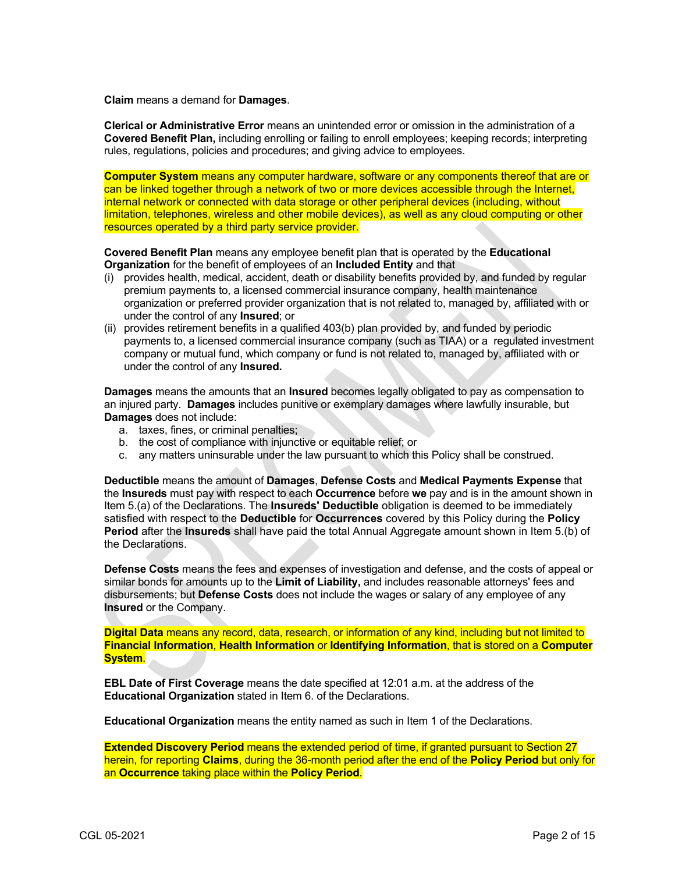**Claim** means a demand for **Damages**.

**Clerical or Administrative Error** means an unintended error or omission in the administration of a **Covered Benefit Plan,** including enrolling or failing to enroll employees; keeping records; interpreting rules, regulations, policies and procedures; and giving advice to employees.

**Computer System** means any computer hardware, software or any components thereof that are or can be linked together through a network of two or more devices accessible through the Internet, internal network or connected with data storage or other peripheral devices (including, without limitation, telephones, wireless and other mobile devices), as well as any cloud computing or other resources operated by a third party service provider.

**Covered Benefit Plan** means any employee benefit plan that is operated by the **Educational Organization** for the benefit of employees of an **Included Entity** and that

- (i) provides health, medical, accident, death or disability benefits provided by, and funded by regular premium payments to, a licensed commercial insurance company, health maintenance organization or preferred provider organization that is not related to, managed by, affiliated with or under the control of any **Insured**; or
- (ii) provides retirement benefits in a qualified 403(b) plan provided by, and funded by periodic payments to, a licensed commercial insurance company (such as TIAA) or a regulated investment company or mutual fund, which company or fund is not related to, managed by, affiliated with or under the control of any **Insured.**

**Damages** means the amounts that an **Insured** becomes legally obligated to pay as compensation to an injured party. **Damages** includes punitive or exemplary damages where lawfully insurable, but **Damages** does not include:

- a. taxes, fines, or criminal penalties;
- b. the cost of compliance with injunctive or equitable relief; or
- c. any matters uninsurable under the law pursuant to which this Policy shall be construed.

**Deductible** means the amount of **Damages**, **Defense Costs** and **Medical Payments Expense** that the **Insureds** must pay with respect to each **Occurrence** before **we** pay and is in the amount shown in Item 5.(a) of the Declarations. The **Insureds' Deductible** obligation is deemed to be immediately satisfied with respect to the **Deductible** for **Occurrences** covered by this Policy during the **Policy Period** after the **Insureds** shall have paid the total Annual Aggregate amount shown in Item 5.(b) of the Declarations.

**Defense Costs** means the fees and expenses of investigation and defense, and the costs of appeal or similar bonds for amounts up to the **Limit of Liability,** and includes reasonable attorneys' fees and disbursements; but **Defense Costs** does not include the wages or salary of any employee of any **Insured** or the Company.

**Digital Data** means any record, data, research, or information of any kind, including but not limited to **Financial Information**, **Health Information** or **Identifying Information**, that is stored on a **Computer System**.

**EBL Date of First Coverage** means the date specified at 12:01 a.m. at the address of the **Educational Organization** stated in Item 6. of the Declarations.

**Educational Organization** means the entity named as such in Item 1 of the Declarations.

**Extended Discovery Period** means the extended period of time, if granted pursuant to Section 27 herein, for reporting **Claims**, during the 36-month period after the end of the **Policy Period** but only for an **Occurrence** taking place within the **Policy Period**.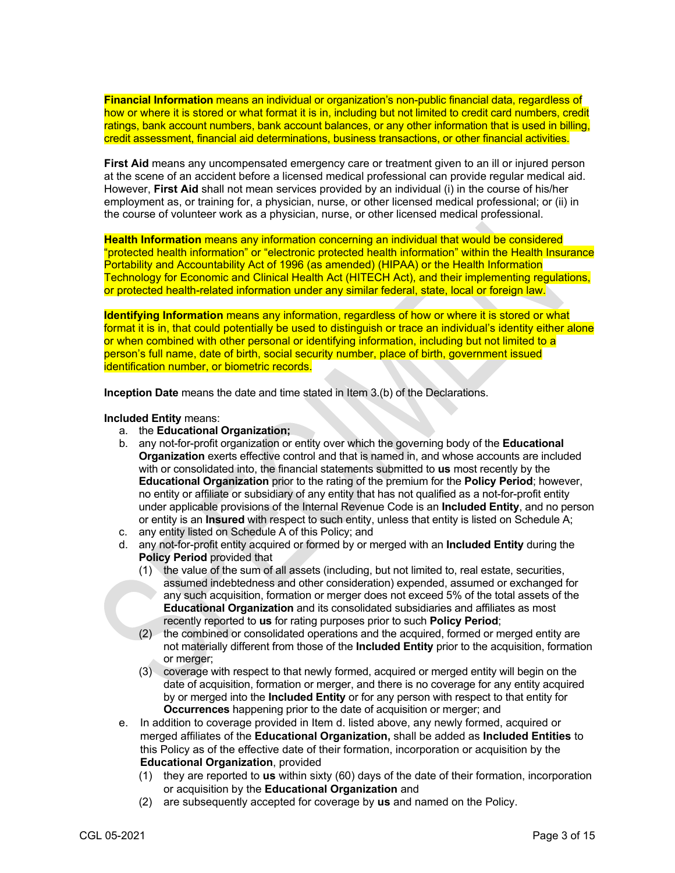**Financial Information** means an individual or organization's non-public financial data, regardless of how or where it is stored or what format it is in, including but not limited to credit card numbers, credit ratings, bank account numbers, bank account balances, or any other information that is used in billing, credit assessment, financial aid determinations, business transactions, or other financial activities.

**First Aid** means any uncompensated emergency care or treatment given to an ill or injured person at the scene of an accident before a licensed medical professional can provide regular medical aid. However, **First Aid** shall not mean services provided by an individual (i) in the course of his/her employment as, or training for, a physician, nurse, or other licensed medical professional; or (ii) in the course of volunteer work as a physician, nurse, or other licensed medical professional.

**Health Information** means any information concerning an individual that would be considered "protected health information" or "electronic protected health information" within the Health Insurance Portability and Accountability Act of 1996 (as amended) (HIPAA) or the Health Information Technology for Economic and Clinical Health Act (HITECH Act), and their implementing regulations, or protected health-related information under any similar federal, state, local or foreign law.

**Identifying Information** means any information, regardless of how or where it is stored or what format it is in, that could potentially be used to distinguish or trace an individual's identity either alone or when combined with other personal or identifying information, including but not limited to a person's full name, date of birth, social security number, place of birth, government issued identification number, or biometric records.

**Inception Date** means the date and time stated in Item 3.(b) of the Declarations.

**Included Entity** means:

- a. the **Educational Organization;**
- b. any not-for-profit organization or entity over which the governing body of the **Educational Organization** exerts effective control and that is named in, and whose accounts are included with or consolidated into, the financial statements submitted to **us** most recently by the **Educational Organization** prior to the rating of the premium for the **Policy Period**; however, no entity or affiliate or subsidiary of any entity that has not qualified as a not-for-profit entity under applicable provisions of the Internal Revenue Code is an **Included Entity**, and no person or entity is an **Insured** with respect to such entity, unless that entity is listed on Schedule A;
- c. any entity listed on Schedule A of this Policy; and
- d. any not-for-profit entity acquired or formed by or merged with an **Included Entity** during the **Policy Period** provided that
	- (1) the value of the sum of all assets (including, but not limited to, real estate, securities, assumed indebtedness and other consideration) expended, assumed or exchanged for any such acquisition, formation or merger does not exceed 5% of the total assets of the **Educational Organization** and its consolidated subsidiaries and affiliates as most recently reported to **us** for rating purposes prior to such **Policy Period**;
	- (2) the combined or consolidated operations and the acquired, formed or merged entity are not materially different from those of the **Included Entity** prior to the acquisition, formation or merger;
	- (3) coverage with respect to that newly formed, acquired or merged entity will begin on the date of acquisition, formation or merger, and there is no coverage for any entity acquired by or merged into the **Included Entity** or for any person with respect to that entity for **Occurrences** happening prior to the date of acquisition or merger; and
- e. In addition to coverage provided in Item d. listed above, any newly formed, acquired or merged affiliates of the **Educational Organization,** shall be added as **Included Entities** to this Policy as of the effective date of their formation, incorporation or acquisition by the **Educational Organization**, provided
	- (1) they are reported to **us** within sixty (60) days of the date of their formation, incorporation or acquisition by the **Educational Organization** and
	- (2) are subsequently accepted for coverage by **us** and named on the Policy.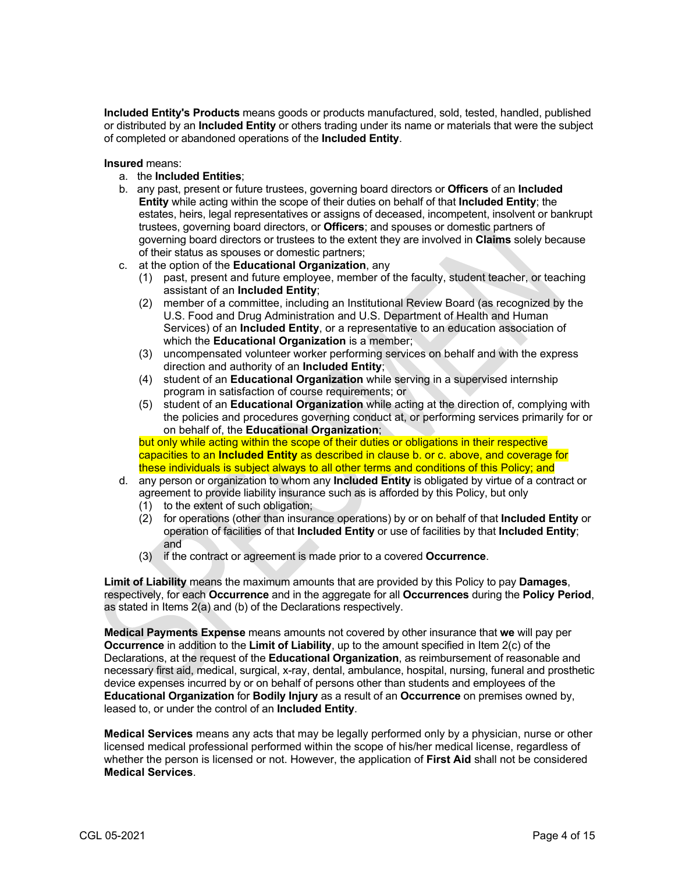**Included Entity's Products** means goods or products manufactured, sold, tested, handled, published or distributed by an **Included Entity** or others trading under its name or materials that were the subject of completed or abandoned operations of the **Included Entity**.

**Insured** means:

- a. the **Included Entities**;
- b. any past, present or future trustees, governing board directors or **Officers** of an **Included Entity** while acting within the scope of their duties on behalf of that **Included Entity**; the estates, heirs, legal representatives or assigns of deceased, incompetent, insolvent or bankrupt trustees, governing board directors, or **Officers**; and spouses or domestic partners of governing board directors or trustees to the extent they are involved in **Claims** solely because of their status as spouses or domestic partners;
- c. at the option of the **Educational Organization**, any
	- (1) past, present and future employee, member of the faculty, student teacher, or teaching assistant of an **Included Entity**;
	- (2) member of a committee, including an Institutional Review Board (as recognized by the U.S. Food and Drug Administration and U.S. Department of Health and Human Services) of an **Included Entity**, or a representative to an education association of which the **Educational Organization** is a member;
	- (3) uncompensated volunteer worker performing services on behalf and with the express direction and authority of an **Included Entity**;
	- (4) student of an **Educational Organization** while serving in a supervised internship program in satisfaction of course requirements; or
	- (5) student of an **Educational Organization** while acting at the direction of, complying with the policies and procedures governing conduct at, or performing services primarily for or on behalf of, the **Educational Organization**;

but only while acting within the scope of their duties or obligations in their respective capacities to an **Included Entity** as described in clause b. or c. above, and coverage for these individuals is subject always to all other terms and conditions of this Policy; and

- d. any person or organization to whom any **Included Entity** is obligated by virtue of a contract or agreement to provide liability insurance such as is afforded by this Policy, but only
	- (1) to the extent of such obligation;
	- (2) for operations (other than insurance operations) by or on behalf of that **Included Entity** or operation of facilities of that **Included Entity** or use of facilities by that **Included Entity**; and
	- (3) if the contract or agreement is made prior to a covered **Occurrence**.

**Limit of Liability** means the maximum amounts that are provided by this Policy to pay **Damages**, respectively, for each **Occurrence** and in the aggregate for all **Occurrences** during the **Policy Period**, as stated in Items 2(a) and (b) of the Declarations respectively.

**Medical Payments Expense** means amounts not covered by other insurance that **we** will pay per **Occurrence** in addition to the **Limit of Liability**, up to the amount specified in Item 2(c) of the Declarations, at the request of the **Educational Organization**, as reimbursement of reasonable and necessary first aid, medical, surgical, x-ray, dental, ambulance, hospital, nursing, funeral and prosthetic device expenses incurred by or on behalf of persons other than students and employees of the **Educational Organization** for **Bodily Injury** as a result of an **Occurrence** on premises owned by, leased to, or under the control of an **Included Entity**.

**Medical Services** means any acts that may be legally performed only by a physician, nurse or other licensed medical professional performed within the scope of his/her medical license, regardless of whether the person is licensed or not. However, the application of **First Aid** shall not be considered **Medical Services**.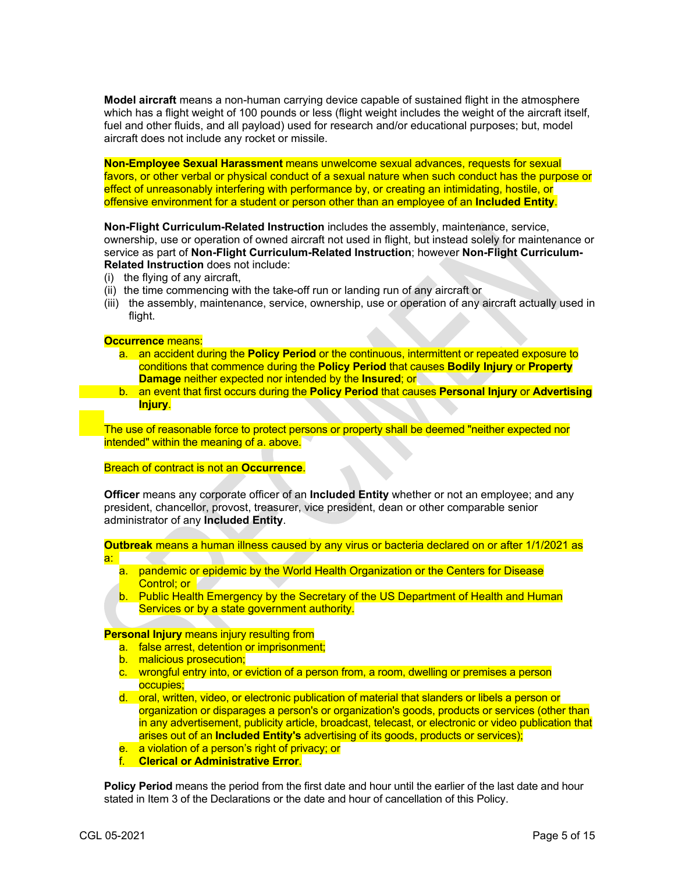**Model aircraft** means a non-human carrying device capable of sustained flight in the atmosphere which has a flight weight of 100 pounds or less (flight weight includes the weight of the aircraft itself, fuel and other fluids, and all payload) used for research and/or educational purposes; but, model aircraft does not include any rocket or missile.

**Non-Employee Sexual Harassment** means unwelcome sexual advances, requests for sexual favors, or other verbal or physical conduct of a sexual nature when such conduct has the purpose or effect of unreasonably interfering with performance by, or creating an intimidating, hostile, or offensive environment for a student or person other than an employee of an **Included Entity**.

**Non-Flight Curriculum-Related Instruction** includes the assembly, maintenance, service, ownership, use or operation of owned aircraft not used in flight, but instead solely for maintenance or service as part of **Non-Flight Curriculum-Related Instruction**; however **Non-Flight Curriculum-Related Instruction** does not include:

- (i) the flying of any aircraft,
- (ii) the time commencing with the take-off run or landing run of any aircraft or
- (iii) the assembly, maintenance, service, ownership, use or operation of any aircraft actually used in flight.

#### **Occurrence** means:

- a. an accident during the **Policy Period** or the continuous, intermittent or repeated exposure to conditions that commence during the **Policy Period** that causes **Bodily Injury** or **Property Damage** neither expected nor intended by the **Insured**; or
- b. an event that first occurs during the **Policy Period** that causes **Personal Injury** or **Advertising Injury**.

The use of reasonable force to protect persons or property shall be deemed "neither expected nor intended" within the meaning of a. above.

Breach of contract is not an **Occurrence**.

**Officer** means any corporate officer of an **Included Entity** whether or not an employee; and any president, chancellor, provost, treasurer, vice president, dean or other comparable senior administrator of any **Included Entity**.

**Outbreak** means a human illness caused by any virus or bacteria declared on or after 1/1/2021 as

- a. pandemic or epidemic by the World Health Organization or the Centers for Disease Control; or
- b. Public Health Emergency by the Secretary of the US Department of Health and Human Services or by a state government authority.

**Personal Injury** means injury resulting from

- a. false arrest, detention or imprisonment;
- b. malicious prosecution;
- c. wrongful entry into, or eviction of a person from, a room, dwelling or premises a person occupies;
- d. oral, written, video, or electronic publication of material that slanders or libels a person or organization or disparages a person's or organization's goods, products or services (other than in any advertisement, publicity article, broadcast, telecast, or electronic or video publication that arises out of an **Included Entity's** advertising of its goods, products or services);
- e. a violation of a person's right of privacy; or
- f. **Clerical or Administrative Error**.

**Policy Period** means the period from the first date and hour until the earlier of the last date and hour stated in Item 3 of the Declarations or the date and hour of cancellation of this Policy.

a: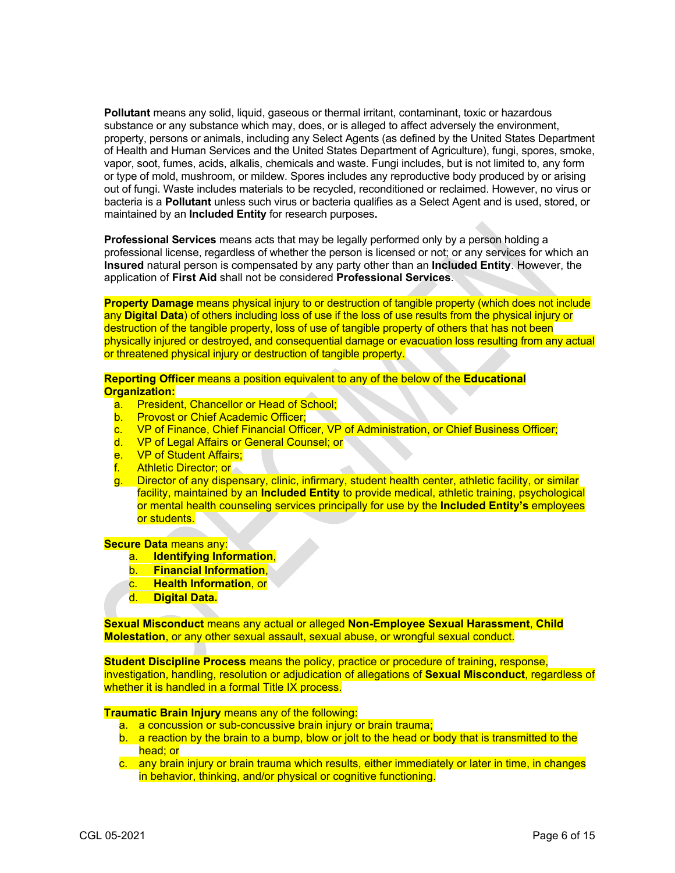**Pollutant** means any solid, liquid, gaseous or thermal irritant, contaminant, toxic or hazardous substance or any substance which may, does, or is alleged to affect adversely the environment, property, persons or animals, including any Select Agents (as defined by the United States Department of Health and Human Services and the United States Department of Agriculture), fungi, spores, smoke, vapor, soot, fumes, acids, alkalis, chemicals and waste. Fungi includes, but is not limited to, any form or type of mold, mushroom, or mildew. Spores includes any reproductive body produced by or arising out of fungi. Waste includes materials to be recycled, reconditioned or reclaimed. However, no virus or bacteria is a **Pollutant** unless such virus or bacteria qualifies as a Select Agent and is used, stored, or maintained by an **Included Entity** for research purposes**.**

**Professional Services** means acts that may be legally performed only by a person holding a professional license, regardless of whether the person is licensed or not; or any services for which an **Insured** natural person is compensated by any party other than an **Included Entity**. However, the application of **First Aid** shall not be considered **Professional Services**.

**Property Damage** means physical injury to or destruction of tangible property (which does not include any **Digital Data**) of others including loss of use if the loss of use results from the physical injury or destruction of the tangible property, loss of use of tangible property of others that has not been physically injured or destroyed, and consequential damage or evacuation loss resulting from any actual or threatened physical injury or destruction of tangible property.

**Reporting Officer** means a position equivalent to any of the below of the **Educational Organization:**

- a. President, Chancellor or Head of School;
- b. Provost or Chief Academic Officer;
- c. VP of Finance, Chief Financial Officer, VP of Administration, or Chief Business Officer;
- d. VP of Legal Affairs or General Counsel; or
- e. VP of Student Affairs;
- f. Athletic Director; or
- g. Director of any dispensary, clinic, infirmary, student health center, athletic facility, or similar facility, maintained by an **Included Entity** to provide medical, athletic training, psychological or mental health counseling services principally for use by the **Included Entity's** employees or students.

**Secure Data** means any:

- a. **Identifying Information**,
- b. **Financial Information**,
- c. **Health Information**, or
- d. **Digital Data.**

**Sexual Misconduct** means any actual or alleged **Non-Employee Sexual Harassment**, **Child Molestation**, or any other sexual assault, sexual abuse, or wrongful sexual conduct.

**Student Discipline Process** means the policy, practice or procedure of training, response, investigation, handling, resolution or adjudication of allegations of **Sexual Misconduct**, regardless of whether it is handled in a formal Title IX process.

**Traumatic Brain Injury** means any of the following:

- a. a concussion or sub-concussive brain injury or brain trauma;
- b. a reaction by the brain to a bump, blow or jolt to the head or body that is transmitted to the head; or
- c. any brain injury or brain trauma which results, either immediately or later in time, in changes in behavior, thinking, and/or physical or cognitive functioning.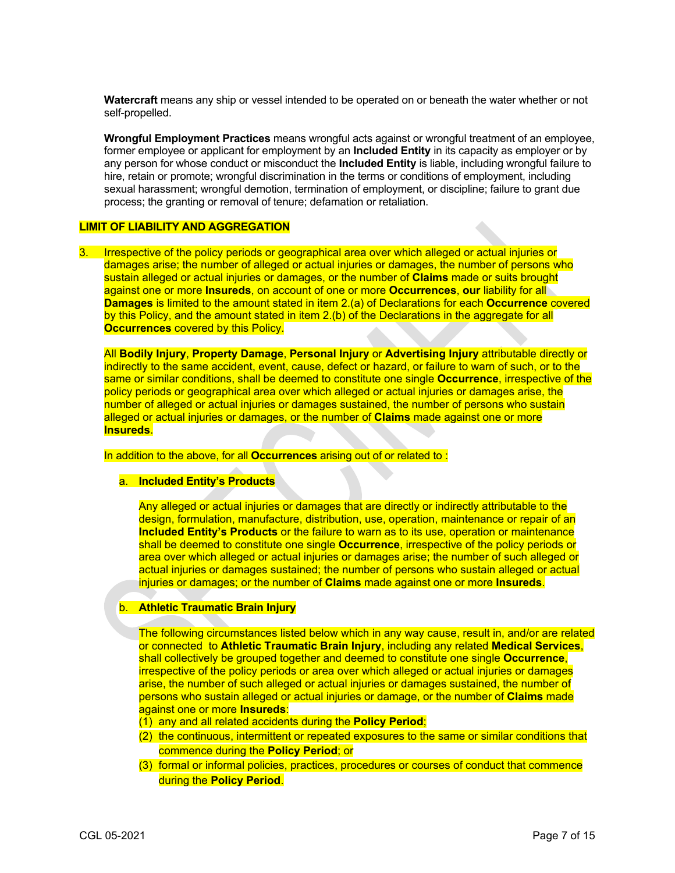**Watercraft** means any ship or vessel intended to be operated on or beneath the water whether or not self-propelled.

**Wrongful Employment Practices** means wrongful acts against or wrongful treatment of an employee, former employee or applicant for employment by an **Included Entity** in its capacity as employer or by any person for whose conduct or misconduct the **Included Entity** is liable, including wrongful failure to hire, retain or promote; wrongful discrimination in the terms or conditions of employment, including sexual harassment; wrongful demotion, termination of employment, or discipline; failure to grant due process; the granting or removal of tenure; defamation or retaliation.

#### **LIMIT OF LIABILITY AND AGGREGATION**

3. Irrespective of the policy periods or geographical area over which alleged or actual injuries or damages arise; the number of alleged or actual injuries or damages, the number of persons who sustain alleged or actual injuries or damages, or the number of **Claims** made or suits brought against one or more **Insureds**, on account of one or more **Occurrences**, **our** liability for all **Damages** is limited to the amount stated in item 2.(a) of Declarations for each **Occurrence** covered by this Policy, and the amount stated in item 2.(b) of the Declarations in the aggregate for all **Occurrences** covered by this Policy.

All **Bodily Injury**, **Property Damage**, **Personal Injury** or **Advertising Injury** attributable directly or indirectly to the same accident, event, cause, defect or hazard, or failure to warn of such, or to the same or similar conditions, shall be deemed to constitute one single **Occurrence**, irrespective of the policy periods or geographical area over which alleged or actual injuries or damages arise, the number of alleged or actual injuries or damages sustained, the number of persons who sustain alleged or actual injuries or damages, or the number of **Claims** made against one or more **Insureds**.

## In addition to the above, for all **Occurrences** arising out of or related to :

### a. **Included Entity's Products**

Any alleged or actual injuries or damages that are directly or indirectly attributable to the design, formulation, manufacture, distribution, use, operation, maintenance or repair of an **Included Entity's Products** or the failure to warn as to its use, operation or maintenance shall be deemed to constitute one single **Occurrence**, irrespective of the policy periods or area over which alleged or actual injuries or damages arise; the number of such alleged or actual injuries or damages sustained; the number of persons who sustain alleged or actual injuries or damages; or the number of **Claims** made against one or more **Insureds**.

#### b. **Athletic Traumatic Brain Injury**

The following circumstances listed below which in any way cause, result in, and/or are related or connected to **Athletic Traumatic Brain Injury**, including any related **Medical Services**, shall collectively be grouped together and deemed to constitute one single **Occurrence**, irrespective of the policy periods or area over which alleged or actual injuries or damages arise, the number of such alleged or actual injuries or damages sustained, the number of persons who sustain alleged or actual injuries or damage, or the number of **Claims** made against one or more **Insureds**:

- (1) any and all related accidents during the **Policy Period**;
- (2) the continuous, intermittent or repeated exposures to the same or similar conditions that commence during the **Policy Period**; or
- (3) formal or informal policies, practices, procedures or courses of conduct that commence during the **Policy Period**.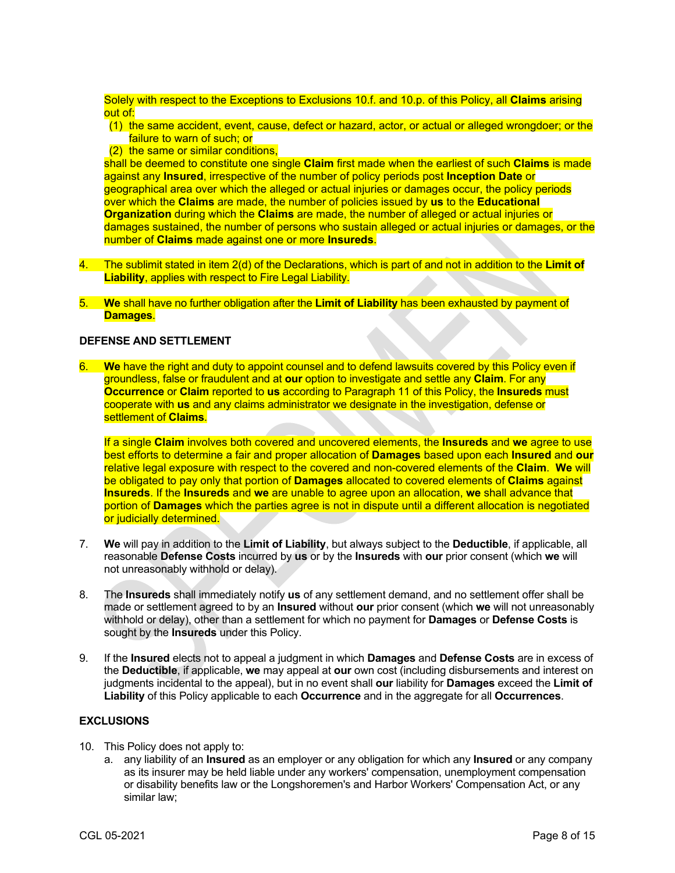Solely with respect to the Exceptions to Exclusions 10.f. and 10.p. of this Policy, all **Claims** arising out of:

- (1) the same accident, event, cause, defect or hazard, actor, or actual or alleged wrongdoer; or the failure to warn of such; or
- (2) the same or similar conditions,

shall be deemed to constitute one single **Claim** first made when the earliest of such **Claims** is made against any **Insured**, irrespective of the number of policy periods post **Inception Date** or geographical area over which the alleged or actual injuries or damages occur, the policy periods over which the **Claims** are made, the number of policies issued by **us** to the **Educational Organization** during which the **Claims** are made, the number of alleged or actual injuries or damages sustained, the number of persons who sustain alleged or actual injuries or damages, or the number of **Claims** made against one or more **Insureds**.

- 4. The sublimit stated in item 2(d) of the Declarations, which is part of and not in addition to the **Limit of Liability**, applies with respect to Fire Legal Liability.
- 5. **We** shall have no further obligation after the **Limit of Liability** has been exhausted by payment of **Damages**.

## **DEFENSE AND SETTLEMENT**

6. **We** have the right and duty to appoint counsel and to defend lawsuits covered by this Policy even if groundless, false or fraudulent and at **our** option to investigate and settle any **Claim**. For any **Occurrence** or **Claim** reported to **us** according to Paragraph 11 of this Policy, the **Insureds** must cooperate with **us** and any claims administrator we designate in the investigation, defense or settlement of **Claims**.

If a single **Claim** involves both covered and uncovered elements, the **Insureds** and **we** agree to use best efforts to determine a fair and proper allocation of **Damages** based upon each **Insured** and **our**  relative legal exposure with respect to the covered and non-covered elements of the **Claim**. **We** will be obligated to pay only that portion of **Damages** allocated to covered elements of **Claims** against **Insureds**. If the **Insureds** and **we** are unable to agree upon an allocation, **we** shall advance that portion of **Damages** which the parties agree is not in dispute until a different allocation is negotiated or judicially determined.

- 7. **We** will pay in addition to the **Limit of Liability**, but always subject to the **Deductible**, if applicable, all reasonable **Defense Costs** incurred by **us** or by the **Insureds** with **our** prior consent (which **we** will not unreasonably withhold or delay).
- 8. The **Insureds** shall immediately notify **us** of any settlement demand, and no settlement offer shall be made or settlement agreed to by an **Insured** without **our** prior consent (which **we** will not unreasonably withhold or delay), other than a settlement for which no payment for **Damages** or **Defense Costs** is sought by the **Insureds** under this Policy.
- 9. If the **Insured** elects not to appeal a judgment in which **Damages** and **Defense Costs** are in excess of the **Deductible**, if applicable, **we** may appeal at **our** own cost (including disbursements and interest on judgments incidental to the appeal), but in no event shall **our** liability for **Damages** exceed the **Limit of Liability** of this Policy applicable to each **Occurrence** and in the aggregate for all **Occurrences**.

# **EXCLUSIONS**

- 10. This Policy does not apply to:
	- a. any liability of an **Insured** as an employer or any obligation for which any **Insured** or any company as its insurer may be held liable under any workers' compensation, unemployment compensation or disability benefits law or the Longshoremen's and Harbor Workers' Compensation Act, or any similar law;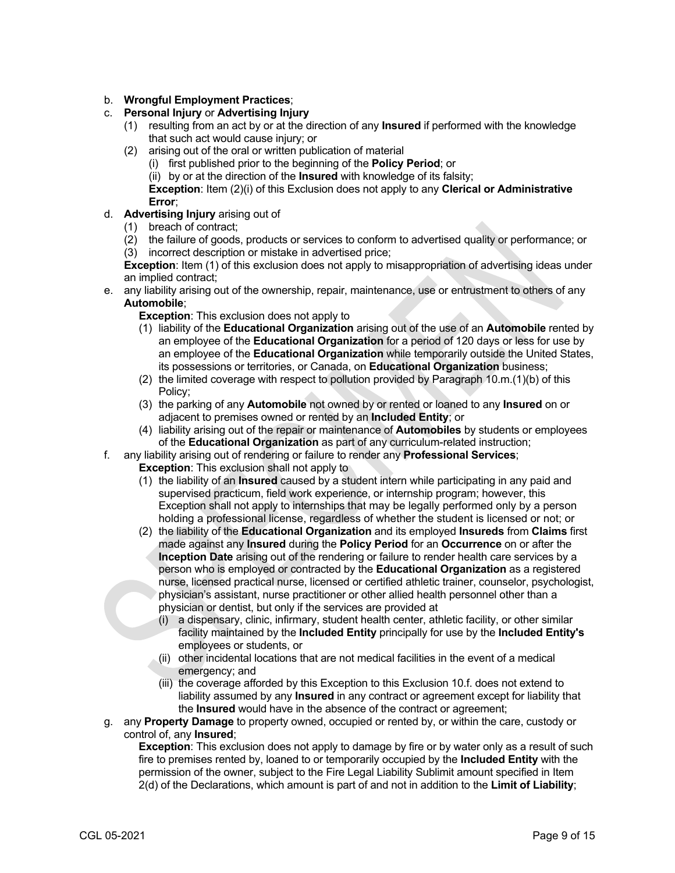# b. **Wrongful Employment Practices**;

## c. **Personal Injury** or **Advertising Injury**

- (1) resulting from an act by or at the direction of any **Insured** if performed with the knowledge that such act would cause injury; or
- (2) arising out of the oral or written publication of material
	- (i) first published prior to the beginning of the **Policy Period**; or
	- (ii) by or at the direction of the **Insured** with knowledge of its falsity;

**Exception**: Item (2)(i) of this Exclusion does not apply to any **Clerical or Administrative Error**;

- d. **Advertising Injury** arising out of
	- (1) breach of contract;
	- (2) the failure of goods, products or services to conform to advertised quality or performance; or (3) incorrect description or mistake in advertised price;

**Exception**: Item (1) of this exclusion does not apply to misappropriation of advertising ideas under an implied contract;

e. any liability arising out of the ownership, repair, maintenance, use or entrustment to others of any **Automobile**;

**Exception**: This exclusion does not apply to

- (1) liability of the **Educational Organization** arising out of the use of an **Automobile** rented by an employee of the **Educational Organization** for a period of 120 days or less for use by an employee of the **Educational Organization** while temporarily outside the United States, its possessions or territories, or Canada, on **Educational Organization** business;
- (2) the limited coverage with respect to pollution provided by Paragraph 10.m.(1)(b) of this Policy;
- (3) the parking of any **Automobile** not owned by or rented or loaned to any **Insured** on or adjacent to premises owned or rented by an **Included Entity**; or
- (4) liability arising out of the repair or maintenance of **Automobiles** by students or employees of the **Educational Organization** as part of any curriculum-related instruction;
- f. any liability arising out of rendering or failure to render any **Professional Services**;
	- **Exception:** This exclusion shall not apply to
	- (1) the liability of an **Insured** caused by a student intern while participating in any paid and supervised practicum, field work experience, or internship program; however, this Exception shall not apply to internships that may be legally performed only by a person holding a professional license, regardless of whether the student is licensed or not; or
	- (2) the liability of the **Educational Organization** and its employed **Insureds** from **Claims** first made against any **Insured** during the **Policy Period** for an **Occurrence** on or after the **Inception Date** arising out of the rendering or failure to render health care services by a person who is employed or contracted by the **Educational Organization** as a registered nurse, licensed practical nurse, licensed or certified athletic trainer, counselor, psychologist, physician's assistant, nurse practitioner or other allied health personnel other than a physician or dentist, but only if the services are provided at
		- (i) a dispensary, clinic, infirmary, student health center, athletic facility, or other similar facility maintained by the **Included Entity** principally for use by the **Included Entity's** employees or students, or
		- (ii) other incidental locations that are not medical facilities in the event of a medical emergency; and
		- (iii) the coverage afforded by this Exception to this Exclusion 10.f. does not extend to liability assumed by any **Insured** in any contract or agreement except for liability that the **Insured** would have in the absence of the contract or agreement;
- g. any **Property Damage** to property owned, occupied or rented by, or within the care, custody or control of, any **Insured**;

**Exception**: This exclusion does not apply to damage by fire or by water only as a result of such fire to premises rented by, loaned to or temporarily occupied by the **Included Entity** with the permission of the owner, subject to the Fire Legal Liability Sublimit amount specified in Item 2(d) of the Declarations, which amount is part of and not in addition to the **Limit of Liability**;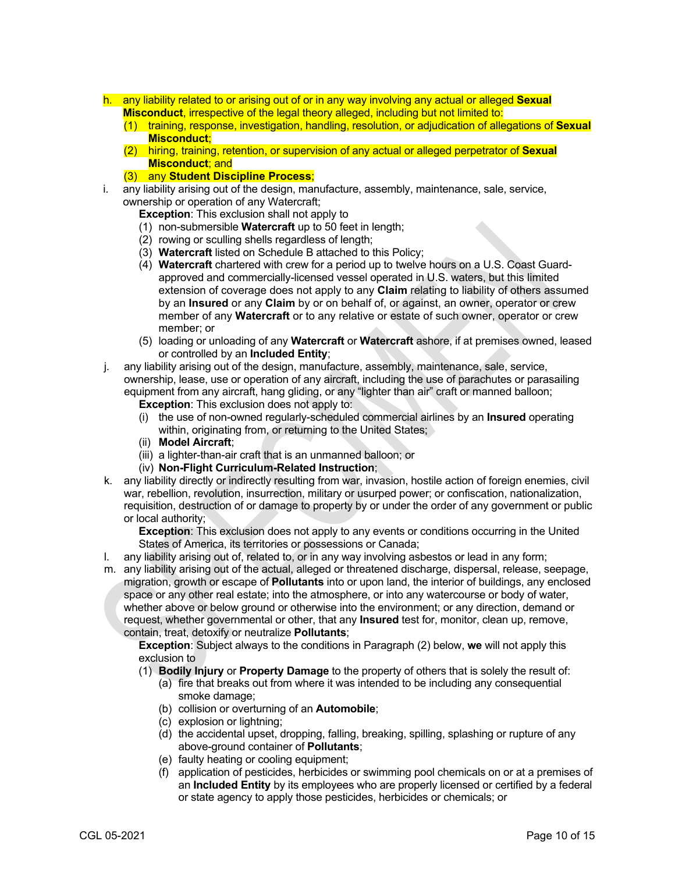- h. any liability related to or arising out of or in any way involving any actual or alleged **Sexual Misconduct**, irrespective of the legal theory alleged, including but not limited to:
	- (1) training, response, investigation, handling, resolution, or adjudication of allegations of **Sexual Misconduct**;
	- (2) hiring, training, retention, or supervision of any actual or alleged perpetrator of **Sexual Misconduct**; and
	- (3) any **Student Discipline Process**;
- i. any liability arising out of the design, manufacture, assembly, maintenance, sale, service, ownership or operation of any Watercraft;
	- **Exception:** This exclusion shall not apply to
	- (1) non-submersible **Watercraft** up to 50 feet in length;
	- (2) rowing or sculling shells regardless of length;
	- (3) **Watercraft** listed on Schedule B attached to this Policy;
	- (4) **Watercraft** chartered with crew for a period up to twelve hours on a U.S. Coast Guardapproved and commercially-licensed vessel operated in U.S. waters, but this limited extension of coverage does not apply to any **Claim** relating to liability of others assumed by an **Insured** or any **Claim** by or on behalf of, or against, an owner, operator or crew member of any **Watercraft** or to any relative or estate of such owner, operator or crew member; or
	- (5) loading or unloading of any **Watercraft** or **Watercraft** ashore, if at premises owned, leased or controlled by an **Included Entity**;
- j. any liability arising out of the design, manufacture, assembly, maintenance, sale, service, ownership, lease, use or operation of any aircraft, including the use of parachutes or parasailing equipment from any aircraft, hang gliding, or any "lighter than air" craft or manned balloon;

**Exception:** This exclusion does not apply to:

- (i) the use of non-owned regularly-scheduled commercial airlines by an **Insured** operating within, originating from, or returning to the United States;
- (ii) **Model Aircraft**;
- (iii) a lighter-than-air craft that is an unmanned balloon; or
- (iv) **Non-Flight Curriculum-Related Instruction**;
- k. any liability directly or indirectly resulting from war, invasion, hostile action of foreign enemies, civil war, rebellion, revolution, insurrection, military or usurped power; or confiscation, nationalization, requisition, destruction of or damage to property by or under the order of any government or public or local authority;

**Exception**: This exclusion does not apply to any events or conditions occurring in the United States of America, its territories or possessions or Canada;

- l. any liability arising out of, related to, or in any way involving asbestos or lead in any form;
- m. any liability arising out of the actual, alleged or threatened discharge, dispersal, release, seepage, migration, growth or escape of **Pollutants** into or upon land, the interior of buildings, any enclosed space or any other real estate; into the atmosphere, or into any watercourse or body of water, whether above or below ground or otherwise into the environment; or any direction, demand or request, whether governmental or other, that any **Insured** test for, monitor, clean up, remove, contain, treat, detoxify or neutralize **Pollutants**;

**Exception**: Subject always to the conditions in Paragraph (2) below, **we** will not apply this exclusion to

- (1) **Bodily Injury** or **Property Damage** to the property of others that is solely the result of:
	- (a) fire that breaks out from where it was intended to be including any consequential smoke damage;
	- (b) collision or overturning of an **Automobile**;
	- (c) explosion or lightning;
	- (d) the accidental upset, dropping, falling, breaking, spilling, splashing or rupture of any above-ground container of **Pollutants**;
	- (e) faulty heating or cooling equipment;
	- (f) application of pesticides, herbicides or swimming pool chemicals on or at a premises of an **Included Entity** by its employees who are properly licensed or certified by a federal or state agency to apply those pesticides, herbicides or chemicals; or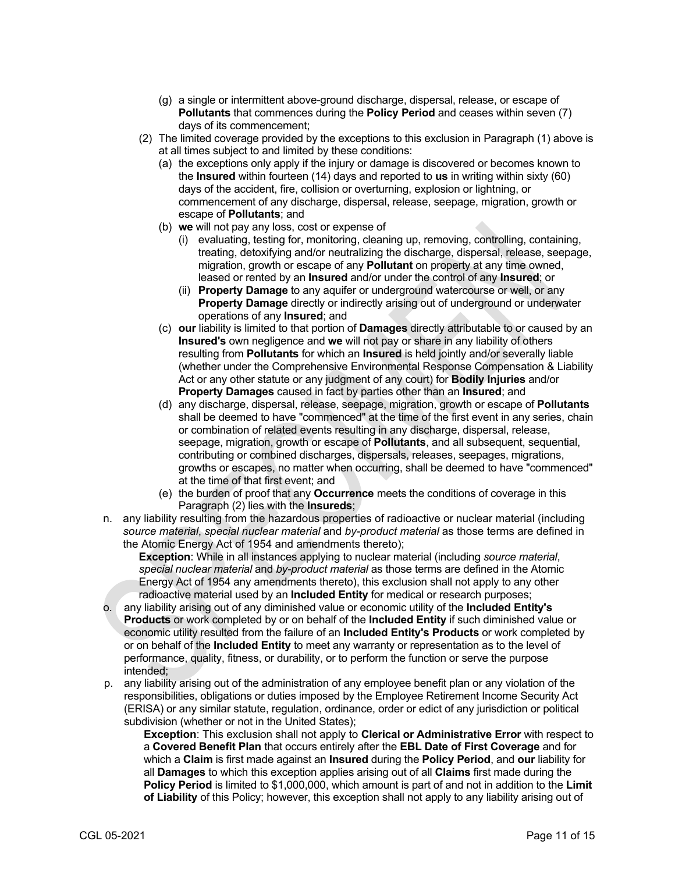- (g) a single or intermittent above-ground discharge, dispersal, release, or escape of **Pollutants** that commences during the **Policy Period** and ceases within seven (7) days of its commencement;
- (2) The limited coverage provided by the exceptions to this exclusion in Paragraph (1) above is at all times subject to and limited by these conditions:
	- (a) the exceptions only apply if the injury or damage is discovered or becomes known to the **Insured** within fourteen (14) days and reported to **us** in writing within sixty (60) days of the accident, fire, collision or overturning, explosion or lightning, or commencement of any discharge, dispersal, release, seepage, migration, growth or escape of **Pollutants**; and
	- (b) **we** will not pay any loss, cost or expense of
		- (i) evaluating, testing for, monitoring, cleaning up, removing, controlling, containing, treating, detoxifying and/or neutralizing the discharge, dispersal, release, seepage, migration, growth or escape of any **Pollutant** on property at any time owned, leased or rented by an **Insured** and/or under the control of any **Insured**; or
		- (ii) **Property Damage** to any aquifer or underground watercourse or well, or any **Property Damage** directly or indirectly arising out of underground or underwater operations of any **Insured**; and
	- (c) **our** liability is limited to that portion of **Damages** directly attributable to or caused by an **Insured's** own negligence and **we** will not pay or share in any liability of others resulting from **Pollutants** for which an **Insured** is held jointly and/or severally liable (whether under the Comprehensive Environmental Response Compensation & Liability Act or any other statute or any judgment of any court) for **Bodily Injuries** and/or **Property Damages** caused in fact by parties other than an **Insured**; and
	- (d) any discharge, dispersal, release, seepage, migration, growth or escape of **Pollutants** shall be deemed to have "commenced" at the time of the first event in any series, chain or combination of related events resulting in any discharge, dispersal, release, seepage, migration, growth or escape of **Pollutants**, and all subsequent, sequential, contributing or combined discharges, dispersals, releases, seepages, migrations, growths or escapes, no matter when occurring, shall be deemed to have "commenced" at the time of that first event; and
	- (e) the burden of proof that any **Occurrence** meets the conditions of coverage in this Paragraph (2) lies with the **Insureds**;
- n. any liability resulting from the hazardous properties of radioactive or nuclear material (including *source material*, *special nuclear material* and *by-product material* as those terms are defined in the Atomic Energy Act of 1954 and amendments thereto);

**Exception**: While in all instances applying to nuclear material (including *source material*, *special nuclear material* and *by-product material* as those terms are defined in the Atomic Energy Act of 1954 any amendments thereto), this exclusion shall not apply to any other radioactive material used by an **Included Entity** for medical or research purposes;

- o. any liability arising out of any diminished value or economic utility of the **Included Entity's Products** or work completed by or on behalf of the **Included Entity** if such diminished value or economic utility resulted from the failure of an **Included Entity's Products** or work completed by or on behalf of the **Included Entity** to meet any warranty or representation as to the level of performance, quality, fitness, or durability, or to perform the function or serve the purpose intended;
- p. any liability arising out of the administration of any employee benefit plan or any violation of the responsibilities, obligations or duties imposed by the Employee Retirement Income Security Act (ERISA) or any similar statute, regulation, ordinance, order or edict of any jurisdiction or political subdivision (whether or not in the United States);

**Exception**: This exclusion shall not apply to **Clerical or Administrative Error** with respect to a **Covered Benefit Plan** that occurs entirely after the **EBL Date of First Coverage** and for which a **Claim** is first made against an **Insured** during the **Policy Period**, and **our** liability for all **Damages** to which this exception applies arising out of all **Claims** first made during the **Policy Period** is limited to \$1,000,000, which amount is part of and not in addition to the **Limit of Liability** of this Policy; however, this exception shall not apply to any liability arising out of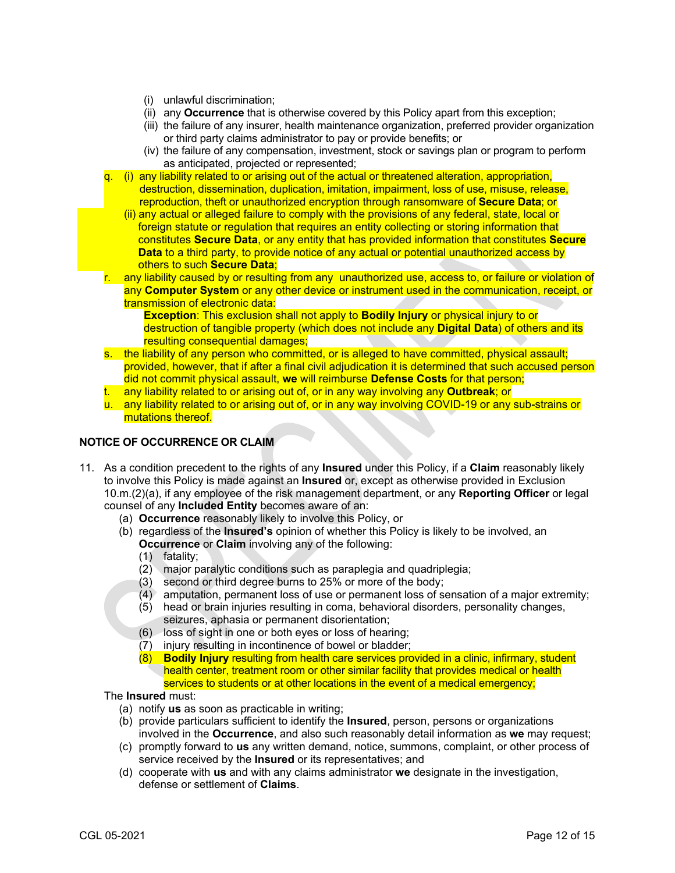- (i) unlawful discrimination;
- (ii) any **Occurrence** that is otherwise covered by this Policy apart from this exception;
- (iii) the failure of any insurer, health maintenance organization, preferred provider organization or third party claims administrator to pay or provide benefits; or
- (iv) the failure of any compensation, investment, stock or savings plan or program to perform as anticipated, projected or represented;
- $(i)$  any liability related to or arising out of the actual or threatened alteration, appropriation, destruction, dissemination, duplication, imitation, impairment, loss of use, misuse, release, reproduction, theft or unauthorized encryption through ransomware of **Secure Data**; or
	- (ii) any actual or alleged failure to comply with the provisions of any federal, state, local or foreign statute or regulation that requires an entity collecting or storing information that constitutes **Secure Data**, or any entity that has provided information that constitutes **Secure Data** to a third party, to provide notice of any actual or potential unauthorized access by others to such **Secure Data**;
- any liability caused by or resulting from any unauthorized use, access to, or failure or violation of any **Computer System** or any other device or instrument used in the communication, receipt, or transmission of electronic data:

**Exception**: This exclusion shall not apply to **Bodily Injury** or physical injury to or destruction of tangible property (which does not include any **Digital Data**) of others and its resulting consequential damages;

- s. the liability of any person who committed, or is alleged to have committed, physical assault; provided, however, that if after a final civil adjudication it is determined that such accused person did not commit physical assault, **we** will reimburse **Defense Costs** for that person;
- t. any liability related to or arising out of, or in any way involving any **Outbreak**; or
- u. any liability related to or arising out of, or in any way involving COVID-19 or any sub-strains or mutations thereof.

### **NOTICE OF OCCURRENCE OR CLAIM**

- 11. As a condition precedent to the rights of any **Insured** under this Policy, if a **Claim** reasonably likely to involve this Policy is made against an **Insured** or, except as otherwise provided in Exclusion 10.m.(2)(a), if any employee of the risk management department, or any **Reporting Officer** or legal counsel of any **Included Entity** becomes aware of an:
	- (a) **Occurrence** reasonably likely to involve this Policy, or
	- (b) regardless of the **Insured's** opinion of whether this Policy is likely to be involved, an **Occurrence** or **Claim** involving any of the following:
		- (1) fatality;
		- (2) major paralytic conditions such as paraplegia and quadriplegia;
		- (3) second or third degree burns to 25% or more of the body;
		- (4) amputation, permanent loss of use or permanent loss of sensation of a major extremity;
		- (5) head or brain injuries resulting in coma, behavioral disorders, personality changes, seizures, aphasia or permanent disorientation;
		- (6) loss of sight in one or both eyes or loss of hearing;
		- (7) injury resulting in incontinence of bowel or bladder;
		- (8) **Bodily Injury** resulting from health care services provided in a clinic, infirmary, student health center, treatment room or other similar facility that provides medical or health services to students or at other locations in the event of a medical emergency;

The **Insured** must:

- (a) notify **us** as soon as practicable in writing;
- (b) provide particulars sufficient to identify the **Insured**, person, persons or organizations involved in the **Occurrence**, and also such reasonably detail information as **we** may request;
- (c) promptly forward to **us** any written demand, notice, summons, complaint, or other process of service received by the **Insured** or its representatives; and
- (d) cooperate with **us** and with any claims administrator **we** designate in the investigation, defense or settlement of **Claims**.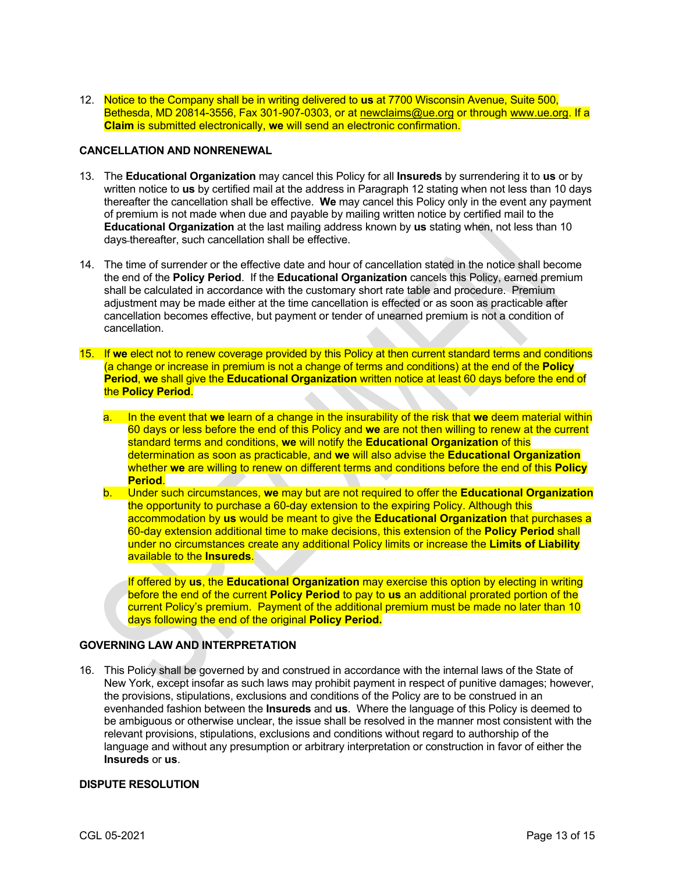12. Notice to the Company shall be in writing delivered to **us** at 7700 Wisconsin Avenue, Suite 500, Bethesda, MD 20814-3556, Fax 301-907-0303, or a[t newclaims@ue.org](mailto:claims@ue.org) or through www.ue.org. If a **Claim** is submitted electronically, **we** will send an electronic confirmation.

#### **CANCELLATION AND NONRENEWAL**

- 13. The **Educational Organization** may cancel this Policy for all **Insureds** by surrendering it to **us** or by written notice to **us** by certified mail at the address in Paragraph 12 stating when not less than 10 days thereafter the cancellation shall be effective. **We** may cancel this Policy only in the event any payment of premium is not made when due and payable by mailing written notice by certified mail to the **Educational Organization** at the last mailing address known by **us** stating when, not less than 10 days thereafter, such cancellation shall be effective.
- 14. The time of surrender or the effective date and hour of cancellation stated in the notice shall become the end of the **Policy Period**. If the **Educational Organization** cancels this Policy, earned premium shall be calculated in accordance with the customary short rate table and procedure. Premium adjustment may be made either at the time cancellation is effected or as soon as practicable after cancellation becomes effective, but payment or tender of unearned premium is not a condition of cancellation.
- 15. If **we** elect not to renew coverage provided by this Policy at then current standard terms and conditions (a change or increase in premium is not a change of terms and conditions) at the end of the **Policy Period**, **we** shall give the **Educational Organization** written notice at least 60 days before the end of the **Policy Period**.
	- a. In the event that **we** learn of a change in the insurability of the risk that **we** deem material within 60 days or less before the end of this Policy and **we** are not then willing to renew at the current standard terms and conditions, **we** will notify the **Educational Organization** of this determination as soon as practicable, and **we** will also advise the **Educational Organization** whether **we** are willing to renew on different terms and conditions before the end of this **Policy Period**.
	- b. Under such circumstances, **we** may but are not required to offer the **Educational Organization** the opportunity to purchase a 60-day extension to the expiring Policy. Although this accommodation by **us** would be meant to give the **Educational Organization** that purchases a 60-day extension additional time to make decisions, this extension of the **Policy Period** shall under no circumstances create any additional Policy limits or increase the **Limits of Liability** available to the **Insureds**.

If offered by **us**, the **Educational Organization** may exercise this option by electing in writing before the end of the current **Policy Period** to pay to **us** an additional prorated portion of the current Policy's premium. Payment of the additional premium must be made no later than 10 days following the end of the original **Policy Period.**

# **GOVERNING LAW AND INTERPRETATION**

16. This Policy shall be governed by and construed in accordance with the internal laws of the State of New York, except insofar as such laws may prohibit payment in respect of punitive damages; however, the provisions, stipulations, exclusions and conditions of the Policy are to be construed in an evenhanded fashion between the **Insureds** and **us**. Where the language of this Policy is deemed to be ambiguous or otherwise unclear, the issue shall be resolved in the manner most consistent with the relevant provisions, stipulations, exclusions and conditions without regard to authorship of the language and without any presumption or arbitrary interpretation or construction in favor of either the **Insureds** or **us**.

### **DISPUTE RESOLUTION**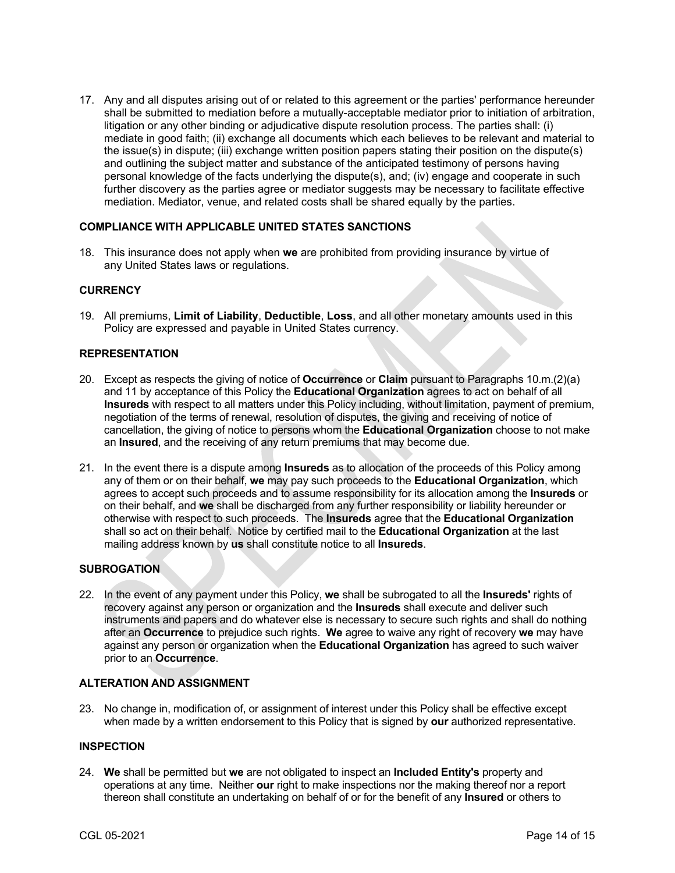17. Any and all disputes arising out of or related to this agreement or the parties' performance hereunder shall be submitted to mediation before a mutually-acceptable mediator prior to initiation of arbitration, litigation or any other binding or adjudicative dispute resolution process. The parties shall: (i) mediate in good faith; (ii) exchange all documents which each believes to be relevant and material to the issue(s) in dispute; (iii) exchange written position papers stating their position on the dispute(s) and outlining the subject matter and substance of the anticipated testimony of persons having personal knowledge of the facts underlying the dispute(s), and; (iv) engage and cooperate in such further discovery as the parties agree or mediator suggests may be necessary to facilitate effective mediation. Mediator, venue, and related costs shall be shared equally by the parties.

## **COMPLIANCE WITH APPLICABLE UNITED STATES SANCTIONS**

18. This insurance does not apply when **we** are prohibited from providing insurance by virtue of any United States laws or regulations.

## **CURRENCY**

19. All premiums, **Limit of Liability**, **Deductible**, **Loss**, and all other monetary amounts used in this Policy are expressed and payable in United States currency.

### **REPRESENTATION**

- 20. Except as respects the giving of notice of **Occurrence** or **Claim** pursuant to Paragraphs 10.m.(2)(a) and 11 by acceptance of this Policy the **Educational Organization** agrees to act on behalf of all **Insureds** with respect to all matters under this Policy including, without limitation, payment of premium, negotiation of the terms of renewal, resolution of disputes, the giving and receiving of notice of cancellation, the giving of notice to persons whom the **Educational Organization** choose to not make an **Insured**, and the receiving of any return premiums that may become due.
- 21. In the event there is a dispute among **Insureds** as to allocation of the proceeds of this Policy among any of them or on their behalf, **we** may pay such proceeds to the **Educational Organization**, which agrees to accept such proceeds and to assume responsibility for its allocation among the **Insureds** or on their behalf, and **we** shall be discharged from any further responsibility or liability hereunder or otherwise with respect to such proceeds. The **Insureds** agree that the **Educational Organization** shall so act on their behalf. Notice by certified mail to the **Educational Organization** at the last mailing address known by **us** shall constitute notice to all **Insureds**.

### **SUBROGATION**

22. In the event of any payment under this Policy, **we** shall be subrogated to all the **Insureds'** rights of recovery against any person or organization and the **Insureds** shall execute and deliver such instruments and papers and do whatever else is necessary to secure such rights and shall do nothing after an **Occurrence** to prejudice such rights. **We** agree to waive any right of recovery **we** may have against any person or organization when the **Educational Organization** has agreed to such waiver prior to an **Occurrence**.

### **ALTERATION AND ASSIGNMENT**

23. No change in, modification of, or assignment of interest under this Policy shall be effective except when made by a written endorsement to this Policy that is signed by **our** authorized representative.

## **INSPECTION**

24. **We** shall be permitted but **we** are not obligated to inspect an **Included Entity's** property and operations at any time. Neither **our** right to make inspections nor the making thereof nor a report thereon shall constitute an undertaking on behalf of or for the benefit of any **Insured** or others to